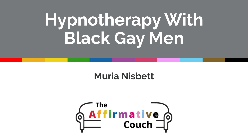# **Hypnotherapy With Black Gay Men**

### **Muria Nisbett**

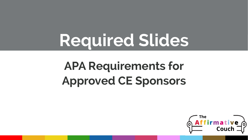# **Required Slides**

# **APA Requirements for Approved CE Sponsors**

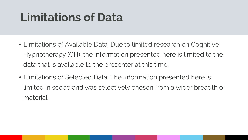# **Limitations of Data**

- Limitations of Available Data: Due to limited research on Cognitive Hypnotherapy (CH), the information presented here is limited to the data that is available to the presenter at this time.
- Limitations of Selected Data: The information presented here is limited in scope and was selectively chosen from a wider breadth of material.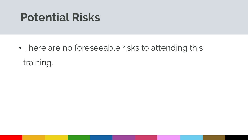### **Potential Risks**

• There are no foreseeable risks to attending this training.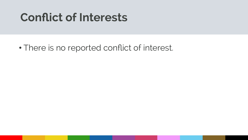### **Conflict of Interests**

• There is no reported conflict of interest.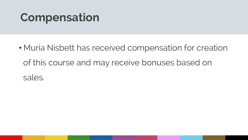# **Compensation**

• Muria Nisbett has received compensation for creation of this course and may receive bonuses based on sales.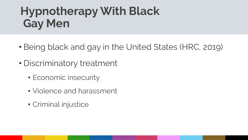# **Hypnotherapy With Black Gay Men**

- Being black and gay in the United States (HRC, 2019)
- Discriminatory treatment
	- Economic insecurity
	- Violence and harassment
	- Criminal injustice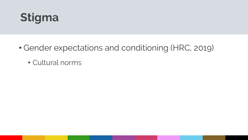

- Gender expectations and conditioning (HRC, 2019)
	- Cultural norms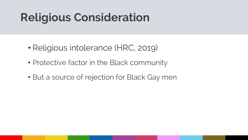# **Religious Consideration**

- Religious intolerance (HRC, 2019)
- Protective factor in the Black community
- But a source of rejection for Black Gay men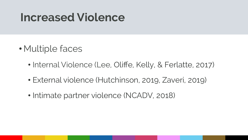### **Increased Violence**

- Multiple faces
	- Internal Violence (Lee, Oliffe, Kelly, & Ferlatte, 2017)
	- External violence (Hutchinson, 2019, Zaveri, 2019)
	- Intimate partner violence (NCADV, 2018)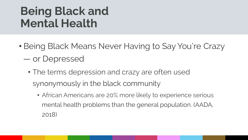# **Being Black and Mental Health**

- Being Black Means Never Having to Say You're Crazy — or Depressed
	- The terms depression and crazy are often used synonymously in the black community
		- African Americans are 20% more likely to experience serious mental health problems than the general population. (AADA, 2018)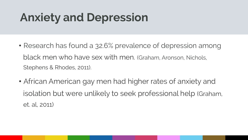# **Anxiety and Depression**

- Research has found a 32.6% prevalence of depression among black men who have sex with men. (Graham, Aronson, Nichols, Stephens & Rhodes, 2011).
- African American gay men had higher rates of anxiety and isolation but were unlikely to seek professional help (Graham, et. al, 2011)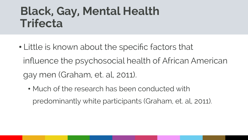### **Black, Gay, Mental Health Trifecta**

- Little is known about the specific factors that influence the psychosocial health of African American gay men (Graham, et. al, 2011).
	- Much of the research has been conducted with predominantly white participants (Graham, et. al, 2011).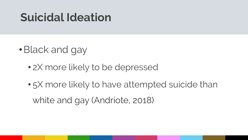### **Suicidal Ideation**

- •Black and gay
	- 2X more likely to be depressed
	- 5X more likely to have attempted suicide than

white and gay (Andriote, 2018)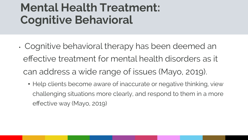# **Cognitive Behavioral 1996 Mental Health Treatment:**

- Cognitive behavioral therapy has been deemed an effective treatment for mental health disorders as it can address a wide range of issues (Mayo, 2019).
	- Help clients become aware of inaccurate or negative thinking, view challenging situations more clearly, and respond to them in a more effective way (Mayo, 2019)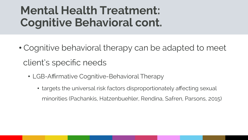### **Coanitive Behavioral cont. Mental Health Treatment: Cognitive Behavioral cont.**

- Cognitive behavioral therapy can be adapted to meet client's specific needs
	- LGB-Affirmative Cognitive-Behavioral Therapy
		- targets the universal risk factors disproportionately affecting sexual minorities (Pachankis, Hatzenbuehler, Rendina, Safren, Parsons, 2015)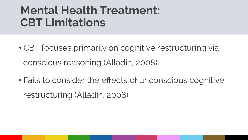#### **CBT Limitations Mental Health Treatment: CBT Limitations**

- CBT focuses primarily on cognitive restructuring via conscious reasoning (Alladin, 2008)
- Fails to consider the effects of unconscious cognitive restructuring (Alladin, 2008)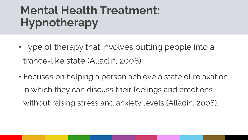### **COLLEGER THE MANUSCRIPTION Mental Health Treatment: Hypnotherapy**

- Type of therapy that involves putting people into a trance-like state (Alladin, 2008).
- Focuses on helping a person achieve a state of relaxation in which they can discuss their feelings and emotions without raising stress and anxiety levels (Alladin, 2008).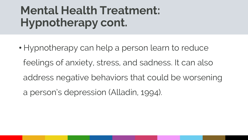### **COLLEGER THE MANUSCRIPTION Mental Health Treatment: Hypnotherapy cont.**

• Hypnotherapy can help a person learn to reduce feelings of anxiety, stress, and sadness. It can also address negative behaviors that could be worsening a person's depression (Alladin, 1994).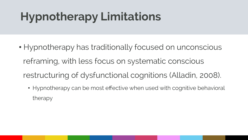# **Hypnotherapy Limitations**

- Hypnotherapy has traditionally focused on unconscious reframing, with less focus on systematic conscious restructuring of dysfunctional cognitions (Alladin, 2008).
	- Hypnotherapy can be most effective when used with cognitive behavioral therapy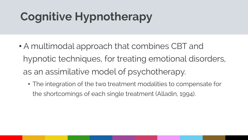# **Cognitive Hypnotherapy**

- A multimodal approach that combines CBT and hypnotic techniques, for treating emotional disorders, as an assimilative model of psychotherapy.
	- The integration of the two treatment modalities to compensate for the shortcomings of each single treatment (Alladin, 1994).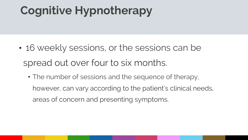### **Click to edit Massers the Master time style style style style style style style style style style style style Cognitive Hypnotherapy**

- 16 weekly sessions, or the sessions can be spread out over four to six months.
	- The number of sessions and the sequence of therapy, however, can vary according to the patient's clinical needs, areas of concern and presenting symptoms.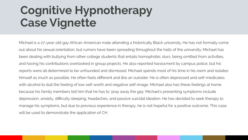### **Case Vignette** Style **1999 Cognitive Hypnotherapy Case Vignette**

Michael is a 27-year-old gay African-American male attending a historically Black university. He has not formally come out about his sexual orientation, but rumors have been spreading throughout the halls of the university. Michael has been dealing with bullying from other college students that entails homophobic slurs, being omitted from activities, and having his contributions overlooked in group projects. He also reported harassment by campus police, but his reports were all determined to be unfounded and dismissed. Michael spends most of his time in his room and isolates himself as much as possible. He often feels different and like an outsider. He is often depressed and self-medicates with alcohol to dull the feeling of low self-worth and negative self-image. Michael also has these feelings at home because his family members tell him that he has to 'pray away the gay.' Michael's presenting symptoms include depression, anxiety, difficulty sleeping, headaches, and passive suicidal ideation. He has decided to seek therapy to manage his symptoms, but due to previous experience in therapy, he is not hopeful for a positive outcome. This case will be used to demonstrate the application of CH.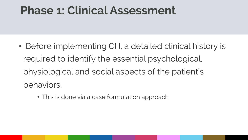### **Click to edit Master title style Phase 1: Clinical Assessment**

- Before implementing CH, a detailed clinical history is required to identify the essential psychological, physiological and social aspects of the patient's behaviors.
	- This is done via a case formulation approach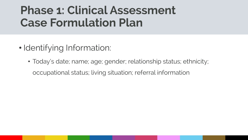- Identifying Information:
	- Today's date; name; age; gender; relationship status; ethnicity; occupational status; living situation; referral information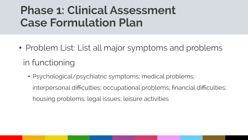- Problem List: List all major symptoms and problems in functioning
	- Psychological/psychiatric symptoms; medical problems; interpersonal difficulties; occupational problems; financial difficulties; housing problems; legal issues; leisure activities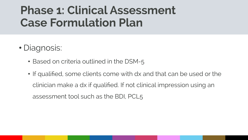- Diagnosis:
	- Based on criteria outlined in the DSM-5
	- If qualified, some clients come with dx and that can be used or the clinician make a dx if qualified. If not clinical impression using an assessment tool such as the BDI, PCL5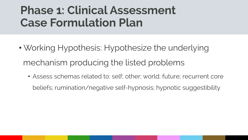- Working Hypothesis: Hypothesize the underlying mechanism producing the listed problems
	- Assess schemas related to: self; other; world; future; recurrent core beliefs; rumination/negative self-hypnosis; hypnotic suggestibility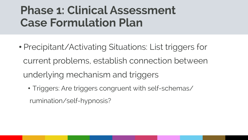- Precipitant/Activating Situations: List triggers for current problems, establish connection between underlying mechanism and triggers
	- Triggers: Are triggers congruent with self-schemas/ rumination/self-hypnosis?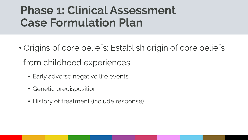- Origins of core beliefs: Establish origin of core beliefs from childhood experiences
	- Early adverse negative life events
	- Genetic predisposition
	- History of treatment (include response)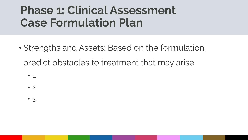- Strengths and Assets: Based on the formulation, predict obstacles to treatment that may arise
	- 1.
	- 2.
	- 3.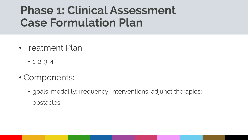- Treatment Plan:
	- 1. 2. 3. 4
- Components:
	- goals; modality; frequency; interventions; adjunct therapies; obstacles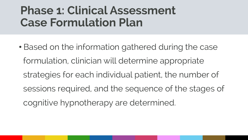• Based on the information gathered during the case formulation, clinician will determine appropriate strategies for each individual patient, the number of sessions required, and the sequence of the stages of cognitive hypnotherapy are determined.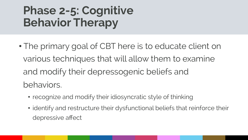### **COLLEGE THE MANUSCRIPTION CONTROLLER STATES IN A SERVICE STATES IN A SERVICE STATES IN A SERVICE STATES IN A SERVICE STATES IN A SERVICE STATES IN A SERVICE STATES IN A SERVICE STATES IN A SERVICE STATES IN A SERVICE STAT Phase 2-5: Cognitive Behavior Therapy**

- The primary goal of CBT here is to educate client on various techniques that will allow them to examine and modify their depressogenic beliefs and behaviors.
	- recognize and modify their idiosyncratic style of thinking
	- identify and restructure their dysfunctional beliefs that reinforce their depressive affect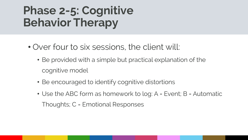### **COLLEGE THE MANUSCRIPTION CONTROLLER STATES IN A SERVICE STATES IN A SERVICE STATES IN A SERVICE STATES IN A SERVICE STATES IN A SERVICE STATES IN A SERVICE STATES IN A SERVICE STATES IN A SERVICE STATES IN A SERVICE STAT Phase 2-5: Cognitive Behavior Therapy**

- Over four to six sessions, the client will:
	- Be provided with a simple but practical explanation of the cognitive model
	- Be encouraged to identify cognitive distortions
	- Use the ABC form as homework to log: A = Event; B = Automatic Thoughts; C = Emotional Responses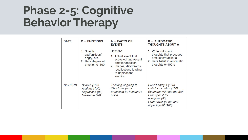#### **COLLEGE THE MANUSCRIPTION CONTROLLER STATES IN A SERVICE STATES IN A SERVICE STATES IN A SERVICE STATES IN A SERVICE STATES IN A SERVICE STATES IN A SERVICE STATES IN A SERVICE STATES IN A SERVICE STATES IN A SERVICE STAT Phase 2-5: Cognitive Behavior Therapy**

| <b>DATE</b> | $C =$ EMOTIONS                                                                  | $A =$ FACTS OR<br><b>EVENTS</b>                                                                                                                             | $B =$ AUTOMATIC<br><b>THOUGHTS ABOUT A</b>                                                                                                                                |
|-------------|---------------------------------------------------------------------------------|-------------------------------------------------------------------------------------------------------------------------------------------------------------|---------------------------------------------------------------------------------------------------------------------------------------------------------------------------|
|             | 1. Specify<br>sad/anxious/<br>angry, etc.<br>2. Rate degree of<br>emotion 0-100 | Describe:<br>1. Actual event that<br>activated unpleasant<br>emotion/reaction<br>2. Images, daydreams,<br>recollections leading<br>to unpleasant<br>emotion | 1. Write automatic<br>thoughts that preceded<br>emotions/reactions<br>2. Rate belief in automatic<br>thoughts 0-100%                                                      |
| Nov.06/04   | Scared (100)<br>Anxious (100)<br>Depressed (85)<br>Miserable (90)               | Thinking of going to<br>Christmas party<br>organised by husband's<br>office                                                                                 | I won't enjoy it (100)<br>I will lose control (100)<br>Everyone will hate me (90)<br>I will spoil it for<br>everyone (90)<br>I can never go out and<br>enjoy myself (100) |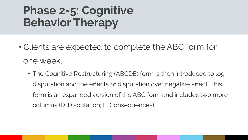- Clients are expected to complete the ABC form for one week.
	- The Cognitive Restructuring (ABCDE) form is then introduced to log disputation and the effects of disputation over negative affect. This form is an expanded version of the ABC form and includes two more columns (D=Disputation; E=Consequences).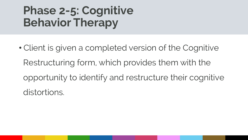• Client is given a completed version of the Cognitive Restructuring form, which provides them with the opportunity to identify and restructure their cognitive distortions.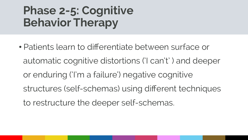• Patients learn to differentiate between surface or automatic cognitive distortions ('I can't' ) and deeper or enduring ('I'm a failure') negative cognitive structures (self-schemas) using different techniques to restructure the deeper self-schemas.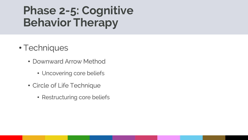- Techniques
	- Downward Arrow Method
		- Uncovering core beliefs
	- Circle of Life Technique
		- Restructuring core beliefs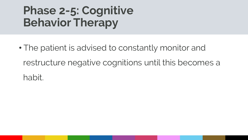• The patient is advised to constantly monitor and restructure negative cognitions until this becomes a habit.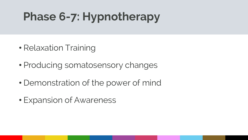# Phase 6-7: Hypnotherapy

- Relaxation Training
- Producing somatosensory changes
- Demonstration of the power of mind
- Expansion of Awareness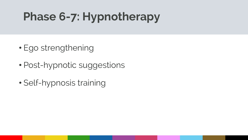# Phase 6-7: Hypnotherapy

- Ego strengthening
- Post-hypnotic suggestions
- Self-hypnosis training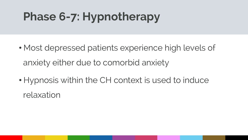# Phase 6-7: Hypnotherapy

- Most depressed patients experience high levels of anxiety either due to comorbid anxiety
- Hypnosis within the CH context is used to induce relaxation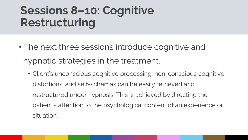# **Click to edit Master the Style Style Style Style Style Style Style Style Style Style Style Style Style Style Style Style Style Style Style Style Style Style Style Style Style Style Style Style Style Style Style Style Styl Sessions 8–10: Cognitive Restructuring**

- The next three sessions introduce cognitive and hypnotic strategies in the treatment.
	- Client's unconscious cognitive processing, non-conscious cognitive distortions, and self-schemas can be easily retrieved and restructured under hypnosis. This is achieved by directing the patient's attention to the psychological content of an experience or situation.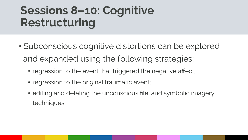# **Click to edit Master the Style Style Style Style Style Style Style Style Style Style Style Style Style Style Style Style Style Style Style Style Style Style Style Style Style Style Style Style Style Style Style Style Styl Sessions 8–10: Cognitive Restructuring**

- Subconscious cognitive distortions can be explored and expanded using the following strategies:
	- regression to the event that triggered the negative affect;
	- regression to the original traumatic event;
	- editing and deleting the unconscious file; and symbolic imagery techniques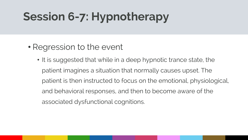- Regression to the event
	- It is suggested that while in a deep hypnotic trance state, the patient imagines a situation that normally causes upset. The patient is then instructed to focus on the emotional, physiological, and behavioral responses, and then to become aware of the associated dysfunctional cognitions.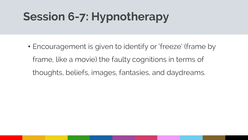• Encouragement is given to identify or 'freeze' (frame by frame, like a movie) the faulty cognitions in terms of thoughts, beliefs, images, fantasies, and daydreams.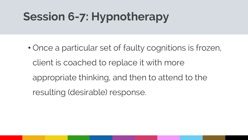• Once a particular set of faulty cognitions is frozen, client is coached to replace it with more appropriate thinking, and then to attend to the resulting (desirable) response.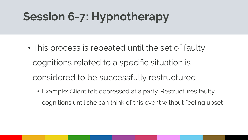- This process is repeated until the set of faulty cognitions related to a specific situation is considered to be successfully restructured.
	- Example: Client felt depressed at a party. Restructures faulty cognitions until she can think of this event without feeling upset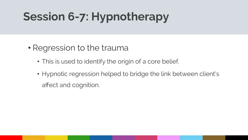- Regression to the trauma
	- This is used to identify the origin of a core belief.
	- Hypnotic regression helped to bridge the link between client's affect and cognition.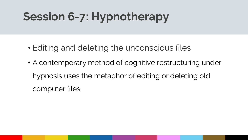- Editing and deleting the unconscious files
- A contemporary method of cognitive restructuring under hypnosis uses the metaphor of editing or deleting old computer files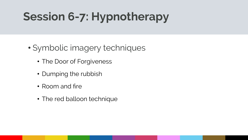- Symbolic imagery techniques
	- The Door of Forgiveness
	- Dumping the rubbish
	- Room and fire
	- The red balloon technique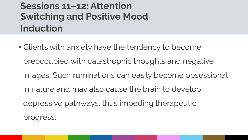### **Switching and Positive Mood Switching Sessions 11–12: Attention Switching and Positive Mood Induction**

• Clients with anxiety have the tendency to become preoccupied with catastrophic thoughts and negative images. Such ruminations can easily become obsessional in nature and may also cause the brain to develop depressive pathways, thus impeding therapeutic progress.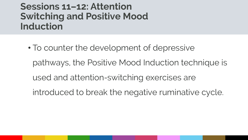#### **Switching and Positive Mood Switching and Positive Mood Sessions 11–12: Attention Switching and Positive Mood Induction**

• To counter the development of depressive pathways, the Positive Mood Induction technique is used and attention-switching exercises are introduced to break the negative ruminative cycle.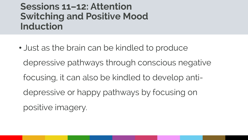#### **Switching and Positive Mood Switching and Positive Mood Sessions 11–12: Attention Switching and Positive Mood Induction**

• Just as the brain can be kindled to produce depressive pathways through conscious negative focusing, it can also be kindled to develop antidepressive or happy pathways by focusing on positive imagery.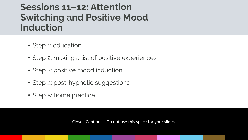# **Switching and Positive Mood 2018 Sessions 11–12: Attention Induction**

- Step 1: education
- Step 2: making a list of positive experiences
- Step 3: positive mood induction
- Step 4: post-hypnotic suggestions
- Step 5: home practice

Closed Captions  $-$  Do not use this space for your slides.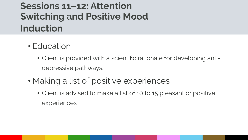### **Switching and Positive Mood Switching Sessions 11–12: Attention Switching and Positive Mood Induction**

- Education
	- Client is provided with a scientific rationale for developing antidepressive pathways.
- Making a list of positive experiences
	- Client is advised to make a list of 10 to 15 pleasant or positive experiences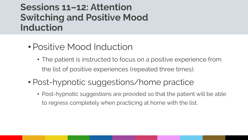# **Switching and Positive Mood 2018 Sessions 11–12: Attention Induction**

- Positive Mood Induction
	- The patient is instructed to focus on a positive experience from the list of positive experiences (repeated three times).
- Post-hypnotic suggestions/home practice
	- Post-hypnotic suggestions are provided so that the patient will be able to regress completely when practicing at home with the list.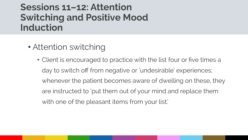# **Switching and Positive Mood 2018 Sessions 11–12: Attention Induction**

- Attention switching
	- Client is encouraged to practice with the list four or five times a day to switch off from negative or 'undesirable' experiences; whenever the patient becomes aware of dwelling on these, they are instructed to 'put them out of your mind and replace them with one of the pleasant items from your list.'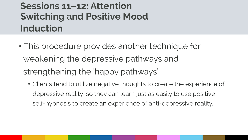### **Switching and Positive Mood Switching Sessions 11–12: Attention Switching and Positive Mood Induction**

- This procedure provides another technique for weakening the depressive pathways and strengthening the 'happy pathways'
	- Clients tend to utilize negative thoughts to create the experience of depressive reality, so they can learn just as easily to use positive self-hypnosis to create an experience of anti-depressive reality.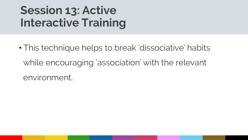# **Contractive Training Server Contractive Training Session 13: Active Interactive Training**

• This technique helps to break 'dissociative' habits while encouraging 'association' with the relevant environment.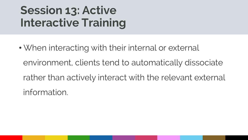# **Contractive Training Server Contractive Training Session 13: Active Interactive Training**

• When interacting with their internal or external environment, clients tend to automatically dissociate rather than actively interact with the relevant external information.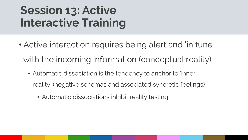# **Contractive Training Server Contractive Training Session 13: Active Interactive Training**

- Active interaction requires being alert and 'in tune' with the incoming information (conceptual reality)
	- Automatic dissociation is the tendency to anchor to 'inner reality' (negative schemas and associated syncretic feelings)
		- Automatic dissociations inhibit reality testing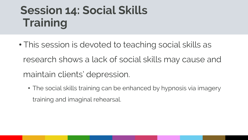# **Click to edit Massers to edit Massers the Click to edit Massers of the Click to edit Massers of the Click to edit Massers of the Click to edit Massers of the Click to edit Massers of the Click to edit Massers of the Click Session 14: Social Skills Training**

- This session is devoted to teaching social skills as research shows a lack of social skills may cause and maintain clients' depression.
	- The social skills training can be enhanced by hypnosis via imagery training and imaginal rehearsal.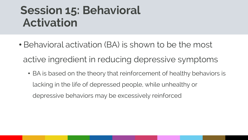### **Activation Session 15: Behavioral Activation**

- Behavioral activation (BA) is shown to be the most active ingredient in reducing depressive symptoms
	- BA is based on the theory that reinforcement of healthy behaviors is lacking in the life of depressed people, while unhealthy or depressive behaviors may be excessively reinforced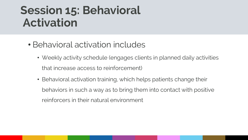### **Activation Session 15: Behavioral Activation**

- Behavioral activation includes
	- Weekly activity schedule (engages clients in planned daily activities that increase access to reinforcement)
	- Behavioral activation training, which helps patients change their behaviors in such a way as to bring them into contact with positive reinforcers in their natural environment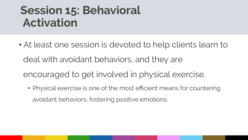### **Activation Session 15: Behavioral Activation**

- At least one session is devoted to help clients learn to deal with avoidant behaviors, and they are encouraged to get involved in physical exercise.
	- Physical exercise is one of the most efficient means for countering avoidant behaviors, fostering positive emotions,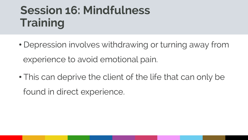# **Click to edit Massers to edit Massers the Click to edit Massers of the Click to edit Massers of the Click to edit Ma<br>The Click to edit Massers of the Click to edit Massers of the Click to edit Massers of the Click to edit Session 16: Mindfulness Training**

- Depression involves withdrawing or turning away from experience to avoid emotional pain.
- This can deprive the client of the life that can only be found in direct experience.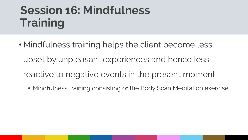# **Click to edit Massers to edit Massers the Click to edit Massers of the Click to edit Massers of the Click to edit Ma<br>The Click to edit Massers of the Click to edit Massers of the Click to edit Massers of the Click to edit Session 16: Mindfulness Training**

- Mindfulness training helps the client become less upset by unpleasant experiences and hence less reactive to negative events in the present moment.
	- Mindfulness training consisting of the Body Scan Meditation exercise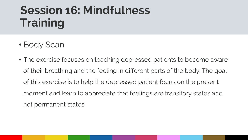# **Click to edit Massers to edit Massers the Click to edit Massers of the Click to edit Massers of the Click to edit Ma<br>The Click to edit Massers of the Click to edit Massers of the Click to edit Massers of the Click to edit Session 16: Mindfulness Training**

- Body Scan
- The exercise focuses on teaching depressed patients to become aware of their breathing and the feeling in different parts of the body. The goal of this exercise is to help the depressed patient focus on the present moment and learn to appreciate that feelings are transitory states and not permanent states.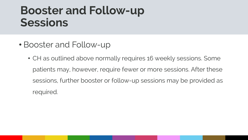### **COLIGIBIOUS Booster and Follow-up Sessions**

- Booster and Follow-up
	- CH as outlined above normally requires 16 weekly sessions. Some patients may, however, require fewer or more sessions. After these sessions, further booster or follow-up sessions may be provided as required.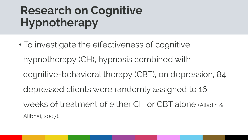# **COLLEGER TO EXAMPLE STATES STATES STATES STATES STATES STATES STATES STATES STATES STATES STATES STATES STATES Research on Cognitive Hypnotherapy**

• To investigate the effectiveness of cognitive hypnotherapy (CH), hypnosis combined with cognitive-behavioral therapy (CBT), on depression, 84 depressed clients were randomly assigned to 16 weeks of treatment of either CH or CBT alone (Alladin & Alibhai, 2007).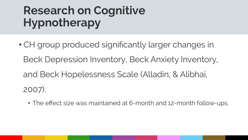# **COLLEGE TO EXAMPLE STATES TO EXAMPLE THE MASTER STATES IN A STATE STATES IN A STATE STATES IN A STATE STATES I Research on Cognitive Hypnotherapy**

- CH group produced significantly larger changes in Beck Depression Inventory, Beck Anxiety Inventory, and Beck Hopelessness Scale (Alladin, & Alibhai, 2007).
	- The effect size was maintained at 6-month and 12-month follow-ups.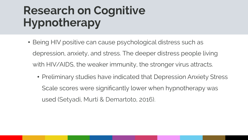# **COLLEGE TO EXAMPLE STATES TO EXAMPLE THE MASTER STATES IN A STATE STATES IN A STATE STATES IN A STATE STATES I Research on Cognitive Hypnotherapy**

- Being HIV positive can cause psychological distress such as depression, anxiety, and stress. The deeper distress people living with HIV/AIDS, the weaker immunity, the stronger virus attracts.
	- Preliminary studies have indicated that Depression Anxiety Stress Scale scores were significantly lower when hypnotherapy was used (Setyadi, Murti & Demartoto, 2016).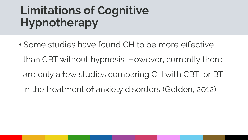# **COLLEGE TO EXAMPLE STATES STATES STATES STATES STATES STATES STATES STATES STATES STATES STATES STATES STATES Limitations of Cognitive Hypnotherapy**

• Some studies have found CH to be more effective than CBT without hypnosis. However, currently there are only a few studies comparing CH with CBT, or BT, in the treatment of anxiety disorders (Golden, 2012).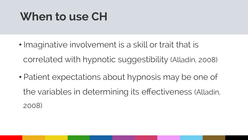# **COLICE THE MANUSCH WHEN THE MASTER STATE When to use CH**

- Imaginative involvement is a skill or trait that is correlated with hypnotic suggestibility (Alladin, 2008)
- Patient expectations about hypnosis may be one of the variables in determining its effectiveness (Alladin, 2008)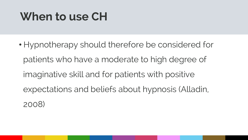# **COLICE THE MANUSCH WHEN THE MASTER STATE When to use CH**

• Hypnotherapy should therefore be considered for patients who have a moderate to high degree of imaginative skill and for patients with positive expectations and beliefs about hypnosis (Alladin, 2008)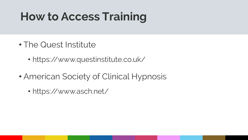# **COLICE HOW TO ACCESS I raining How to Access Training**

- The Quest Institute
	- https://www.questinstitute.co.uk/
- American Society of Clinical Hypnosis
	- https://www.asch.net/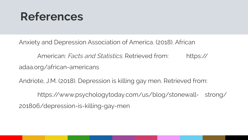Anxiety and Depression Association of America. (2018). African

American: Facts and Statistics. Retrieved from: https:// adaa.org/african-americans

Andriote, J.M. (2018). Depression is killing gay men. Retrieved from:

https://www.psychologytoday.com/us/blog/stonewall- strong/ 201806/depression-is-killing-gay-men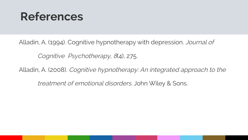Alladin, A. (1994). Cognitive hypnotherapy with depression. Journal of

Cognitive Psychotherapy, 8(4), 275.

Alladin, A. (2008). Cognitive hypnotherapy: An integrated approach to the

treatment of emotional disorders. John Wiley & Sons.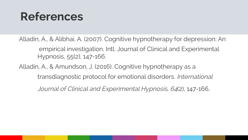Alladin, A., & Alibhai, A. (2007). Cognitive hypnotherapy for depression: An empirical investigation. Intl. Journal of Clinical and Experimental Hypnosis, 55(2), 147-166.

Alladin, A., & Amundson, J. (2016). Cognitive hypnotherapy as a transdiagnostic protocol for emotional disorders. International

Journal of Clinical and Experimental Hypnosis, <sup>64</sup>(2), 147-166.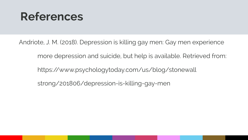Andriote, J. M. (2018). Depression is killing gay men: Gay men experience

more depression and suicide, but help is available. Retrieved from:

https://www.psychologytoday.com/us/blog/stonewall

strong/201806/depression-is-killing-gay-men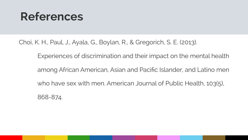Choi, K. H., Paul, J., Ayala, G., Boylan, R., & Gregorich, S. E. (2013).

Experiences of discrimination and their impact on the mental health

among African American, Asian and Pacific Islander, and Latino men

who have sex with men. American Journal of Public Health, 103(5),

868-874.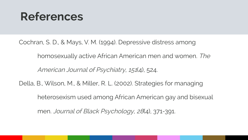Cochran, S. D., & Mays, V. M. (1994). Depressive distress among

homosexually active African American men and women. The

American Journal of Psychiatry, 151(4), 524.

Della, B., Wilson, M., & Miller, R. L. (2002). Strategies for managing

heterosexism used among African American gay and bisexual

men. Journal of Black Psychology, 28(4), 371-391.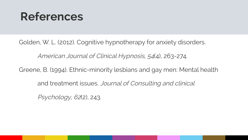Golden, W. L. (2012). Cognitive hypnotherapy for anxiety disorders.

American Journal of Clinical Hypnosis, 54(4), 263-274.

Greene, B. (1994). Ethnic-minority lesbians and gay men: Mental health

and treatment issues. Journal of Consulting and clinical

Psychology, 62(2), 243.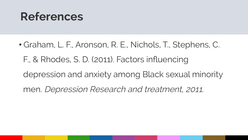• Graham, L. F., Aronson, R. E., Nichols, T., Stephens, C. F., & Rhodes, S. D. (2011). Factors influencing depression and anxiety among Black sexual minority men. Depression Research and treatment, 2011.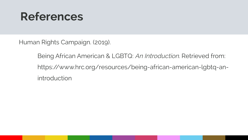Human Rights Campaign. (2019).

Being African American & LGBTQ: An Introduction. Retrieved from: https://www.hrc.org/resources/being-african-american-lgbtq-anintroduction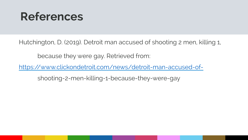Hutchington, D. (2019). Detroit man accused of shooting 2 men, killing 1,

because they were gay. Retrieved from:

https://www.clickondetroit.com/news/detroit-man-accused-of-

shooting-2-men-killing-1-because-they-were-gay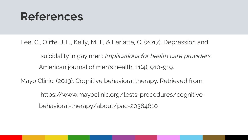Lee, C., Oliffe, J. L., Kelly, M. T., & Ferlatte, O. (2017). Depression and

 suicidality in gay men: Implications for health care providers. American journal of men's health, 11(4), 910-919.

Mayo Clinic. (2019). Cognitive behavioral therapy. Retrieved from:

 https://www.mayoclinic.org/tests-procedures/cognitivebehavioral-therapy/about/pac-20384610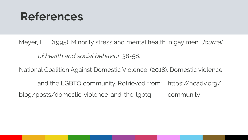Meyer, I. H. (1995). Minority stress and mental health in gay men. Journal

of health and social behavior, 38-56.

National Coalition Against Domestic Violence. (2018). Domestic violence

and the LGBTQ community. Retrieved from: https://ncadv.org/ blog/posts/domestic-violence-and-the-lgbtq- community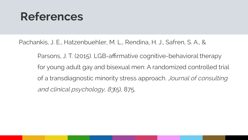Pachankis, J. E., Hatzenbuehler, M. L., Rendina, H. J., Safren, S. A., &

Parsons, J. T. (2015). LGB-affirmative cognitive-behavioral therapy for young adult gay and bisexual men: A randomized controlled trial of a transdiagnostic minority stress approach. Journal of consulting and clinical psychology, 83(5), 875.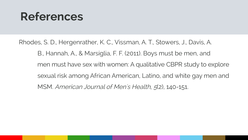Rhodes, S. D., Hergenrather, K. C., Vissman, A. T., Stowers, J., Davis, A. B., Hannah, A., & Marsiglia, F. F. (2011). Boys must be men, and men must have sex with women: A qualitative CBPR study to explore sexual risk among African American, Latino, and white gay men and MSM. American Journal of Men's Health, 5(2), 140-151.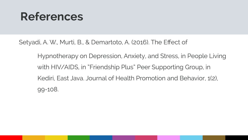Setyadi, A. W., Murti, B., & Demartoto, A. (2016). The Effect of

Hypnotherapy on Depression, Anxiety, and Stress, in People Living with HIV/AIDS, in "Friendship Plus" Peer Supporting Group, in Kediri, East Java. Journal of Health Promotion and Behavior, 1(2), 99-108.